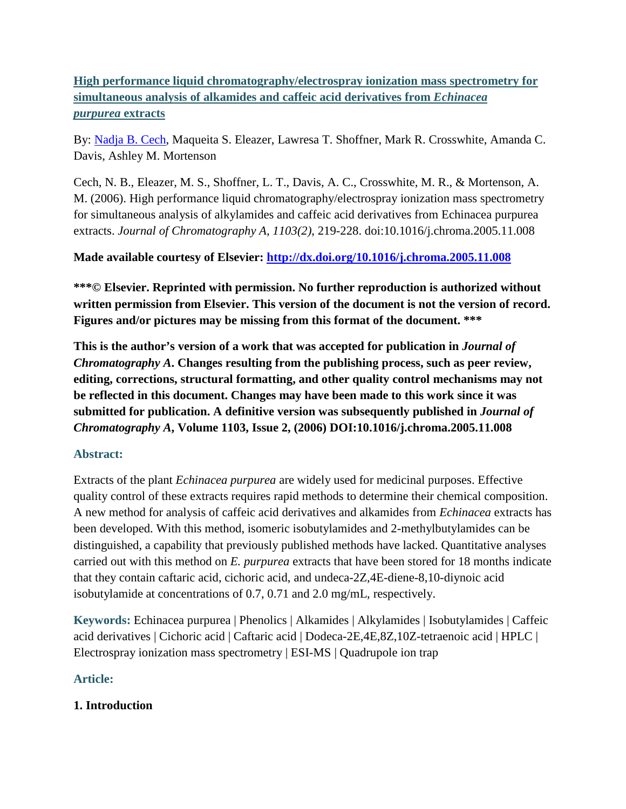**High performance liquid chromatography/electrospray ionization mass spectrometry for simultaneous analysis of alkamides and caffeic acid derivatives from** *Echinacea purpurea* **extracts**

By: [Nadja B. Cech,](http://libres.uncg.edu/ir/uncg/clist.aspx?id=116) Maqueita S. Eleazer, Lawresa T. Shoffner, Mark R. Crosswhite, Amanda C. Davis, Ashley M. Mortenson

Cech, N. B., Eleazer, M. S., Shoffner, L. T., Davis, A. C., Crosswhite, M. R., & Mortenson, A. M. (2006). High performance liquid chromatography/electrospray ionization mass spectrometry for simultaneous analysis of alkylamides and caffeic acid derivatives from Echinacea purpurea extracts. *Journal of Chromatography A, 1103(2)*, 219-228. doi:10.1016/j.chroma.2005.11.008

**Made available courtesy of Elsevier:<http://dx.doi.org/10.1016/j.chroma.2005.11.008>**

**\*\*\*© Elsevier. Reprinted with permission. No further reproduction is authorized without written permission from Elsevier. This version of the document is not the version of record. Figures and/or pictures may be missing from this format of the document. \*\*\***

**This is the author's version of a work that was accepted for publication in** *Journal of Chromatography A***. Changes resulting from the publishing process, such as peer review, editing, corrections, structural formatting, and other quality control mechanisms may not be reflected in this document. Changes may have been made to this work since it was submitted for publication. A definitive version was subsequently published in** *Journal of Chromatography A***, Volume 1103, Issue 2, (2006) DOI:10.1016/j.chroma.2005.11.008**

## **Abstract:**

Extracts of the plant *Echinacea purpurea* are widely used for medicinal purposes. Effective quality control of these extracts requires rapid methods to determine their chemical composition. A new method for analysis of caffeic acid derivatives and alkamides from *Echinacea* extracts has been developed. With this method, isomeric isobutylamides and 2-methylbutylamides can be distinguished, a capability that previously published methods have lacked. Quantitative analyses carried out with this method on *E. purpurea* extracts that have been stored for 18 months indicate that they contain caftaric acid, cichoric acid, and undeca-2Z,4E-diene-8,10-diynoic acid isobutylamide at concentrations of 0.7, 0.71 and 2.0 mg/mL, respectively.

**Keywords:** Echinacea purpurea | Phenolics | Alkamides | Alkylamides | Isobutylamides | Caffeic acid derivatives | Cichoric acid | Caftaric acid | Dodeca-2E,4E,8Z,10Z-tetraenoic acid | HPLC | Electrospray ionization mass spectrometry | ESI-MS | Quadrupole ion trap

# **Article:**

# **1. Introduction**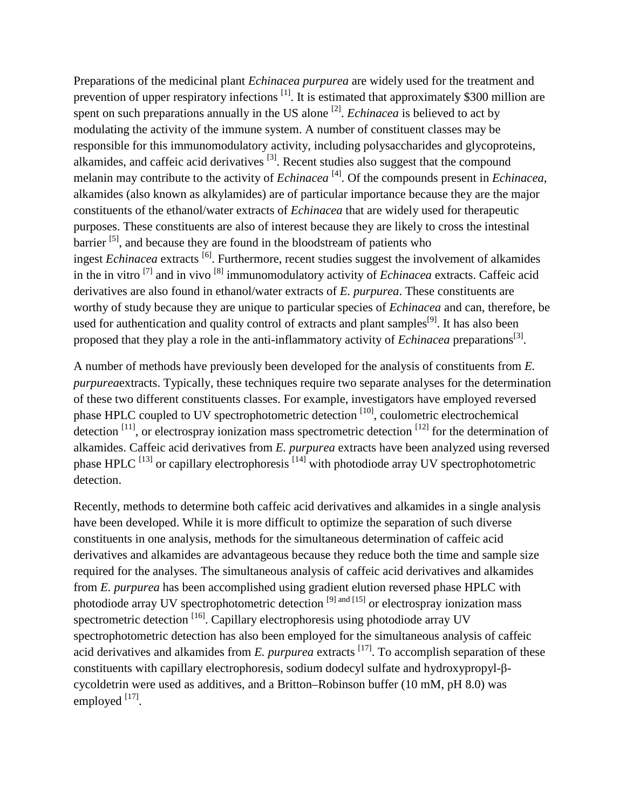Preparations of the medicinal plant *Echinacea purpurea* are widely used for the treatment and prevention of upper respiratory infections<sup>[1]</sup>. It is estimated that approximately \$300 million are spent on such preparations annually in the US alone <sup>[2]</sup>. *Echinacea* is believed to act by modulating the activity of the immune system. A number of constituent classes may be responsible for this immunomodulatory activity, including polysaccharides and glycoproteins, alkamides, and caffeic acid derivatives  $[3]$ . Recent studies also suggest that the compound melanin may contribute to the activity of *Echinacea* [4]. Of the compounds present in *Echinacea*, alkamides (also known as alkylamides) are of particular importance because they are the major constituents of the ethanol/water extracts of *Echinacea* that are widely used for therapeutic purposes. These constituents are also of interest because they are likely to cross the intestinal  $barrier$ <sup>[5]</sup>, and because they are found in the bloodstream of patients who ingest *Echinacea* extracts [6]. Furthermore, recent studies suggest the involvement of alkamides in the in vitro [7] and in vivo [8] immunomodulatory activity of *Echinacea* extracts. Caffeic acid derivatives are also found in ethanol/water extracts of *E. purpurea*. These constituents are worthy of study because they are unique to particular species of *Echinacea* and can, therefore, be used for authentication and quality control of extracts and plant samples<sup>[9]</sup>. It has also been proposed that they play a role in the anti-inflammatory activity of *Echinacea* preparations[3].

A number of methods have previously been developed for the analysis of constituents from *E. purpurea*extracts. Typically, these techniques require two separate analyses for the determination of these two different constituents classes. For example, investigators have employed reversed phase HPLC coupled to UV spectrophotometric detection <sup>[10]</sup>, coulometric electrochemical detection  $[11]$ , or electrospray ionization mass spectrometric detection  $[12]$  for the determination of alkamides. Caffeic acid derivatives from *E. purpurea* extracts have been analyzed using reversed phase HPLC<sup>[13]</sup> or capillary electrophoresis<sup>[14]</sup> with photodiode array UV spectrophotometric detection.

Recently, methods to determine both caffeic acid derivatives and alkamides in a single analysis have been developed. While it is more difficult to optimize the separation of such diverse constituents in one analysis, methods for the simultaneous determination of caffeic acid derivatives and alkamides are advantageous because they reduce both the time and sample size required for the analyses. The simultaneous analysis of caffeic acid derivatives and alkamides from *E. purpurea* has been accomplished using gradient elution reversed phase HPLC with photodiode array UV spectrophotometric detection<sup>[9] and [15]</sup> or electrospray ionization mass spectrometric detection [16]. Capillary electrophoresis using photodiode array UV spectrophotometric detection has also been employed for the simultaneous analysis of caffeic acid derivatives and alkamides from *E. purpurea* extracts <sup>[17]</sup>. To accomplish separation of these constituents with capillary electrophoresis, sodium dodecyl sulfate and hydroxypropyl-βcycoldetrin were used as additives, and a Britton–Robinson buffer (10 mM, pH 8.0) was employed  $^{[17]}$ .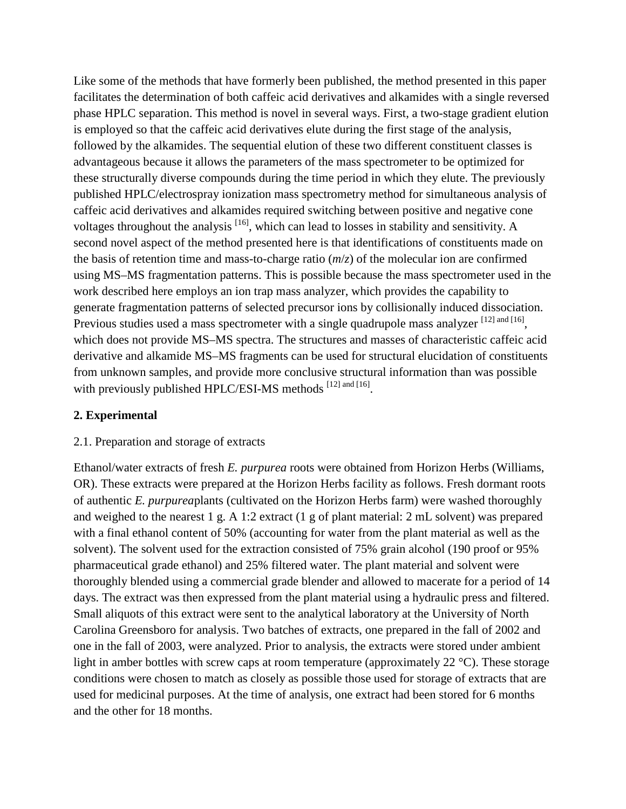Like some of the methods that have formerly been published, the method presented in this paper facilitates the determination of both caffeic acid derivatives and alkamides with a single reversed phase HPLC separation. This method is novel in several ways. First, a two-stage gradient elution is employed so that the caffeic acid derivatives elute during the first stage of the analysis, followed by the alkamides. The sequential elution of these two different constituent classes is advantageous because it allows the parameters of the mass spectrometer to be optimized for these structurally diverse compounds during the time period in which they elute. The previously published HPLC/electrospray ionization mass spectrometry method for simultaneous analysis of caffeic acid derivatives and alkamides required switching between positive and negative cone voltages throughout the analysis <sup>[16]</sup>, which can lead to losses in stability and sensitivity. A second novel aspect of the method presented here is that identifications of constituents made on the basis of retention time and mass-to-charge ratio (*m*/*z*) of the molecular ion are confirmed using MS–MS fragmentation patterns. This is possible because the mass spectrometer used in the work described here employs an ion trap mass analyzer, which provides the capability to generate fragmentation patterns of selected precursor ions by collisionally induced dissociation. Previous studies used a mass spectrometer with a single quadrupole mass analyzer <sup>[12] and [16]</sup>. which does not provide MS–MS spectra. The structures and masses of characteristic caffeic acid derivative and alkamide MS–MS fragments can be used for structural elucidation of constituents from unknown samples, and provide more conclusive structural information than was possible with previously published HPLC/ESI-MS methods [12] and [16].

#### **2. Experimental**

#### 2.1. Preparation and storage of extracts

Ethanol/water extracts of fresh *E. purpurea* roots were obtained from Horizon Herbs (Williams, OR). These extracts were prepared at the Horizon Herbs facility as follows. Fresh dormant roots of authentic *E. purpurea*plants (cultivated on the Horizon Herbs farm) were washed thoroughly and weighed to the nearest 1 g. A 1:2 extract (1 g of plant material: 2 mL solvent) was prepared with a final ethanol content of 50% (accounting for water from the plant material as well as the solvent). The solvent used for the extraction consisted of 75% grain alcohol (190 proof or 95% pharmaceutical grade ethanol) and 25% filtered water. The plant material and solvent were thoroughly blended using a commercial grade blender and allowed to macerate for a period of 14 days. The extract was then expressed from the plant material using a hydraulic press and filtered. Small aliquots of this extract were sent to the analytical laboratory at the University of North Carolina Greensboro for analysis. Two batches of extracts, one prepared in the fall of 2002 and one in the fall of 2003, were analyzed. Prior to analysis, the extracts were stored under ambient light in amber bottles with screw caps at room temperature (approximately 22 °C). These storage conditions were chosen to match as closely as possible those used for storage of extracts that are used for medicinal purposes. At the time of analysis, one extract had been stored for 6 months and the other for 18 months.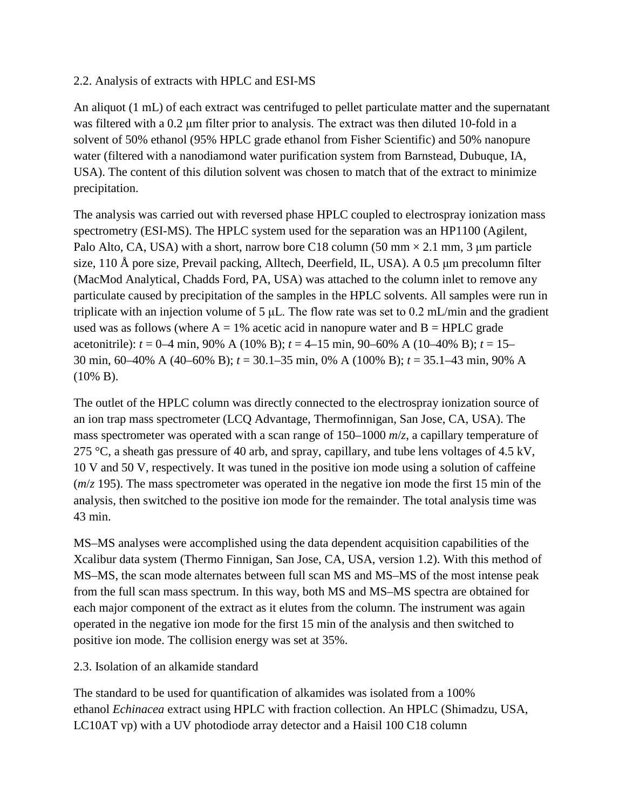## 2.2. Analysis of extracts with HPLC and ESI-MS

An aliquot (1 mL) of each extract was centrifuged to pellet particulate matter and the supernatant was filtered with a 0.2 μm filter prior to analysis. The extract was then diluted 10-fold in a solvent of 50% ethanol (95% HPLC grade ethanol from Fisher Scientific) and 50% nanopure water (filtered with a nanodiamond water purification system from Barnstead, Dubuque, IA, USA). The content of this dilution solvent was chosen to match that of the extract to minimize precipitation.

The analysis was carried out with reversed phase HPLC coupled to electrospray ionization mass spectrometry (ESI-MS). The HPLC system used for the separation was an HP1100 (Agilent, Palo Alto, CA, USA) with a short, narrow bore C18 column (50 mm  $\times$  2.1 mm, 3 µm particle size, 110 Å pore size, Prevail packing, Alltech, Deerfield, IL, USA). A 0.5 μm precolumn filter (MacMod Analytical, Chadds Ford, PA, USA) was attached to the column inlet to remove any particulate caused by precipitation of the samples in the HPLC solvents. All samples were run in triplicate with an injection volume of 5 μL. The flow rate was set to 0.2 mL/min and the gradient used was as follows (where  $A = 1%$  acetic acid in nanopure water and  $B = HPLC$  grade acetonitrile): *t* = 0–4 min, 90% A (10% B); *t* = 4–15 min, 90–60% A (10–40% B); *t* = 15– 30 min, 60–40% A (40–60% B); *t* = 30.1–35 min, 0% A (100% B); *t* = 35.1–43 min, 90% A (10% B).

The outlet of the HPLC column was directly connected to the electrospray ionization source of an ion trap mass spectrometer (LCQ Advantage, Thermofinnigan, San Jose, CA, USA). The mass spectrometer was operated with a scan range of 150–1000 *m*/*z*, a capillary temperature of 275 °C, a sheath gas pressure of 40 arb, and spray, capillary, and tube lens voltages of 4.5 kV, 10 V and 50 V, respectively. It was tuned in the positive ion mode using a solution of caffeine (*m*/*z* 195). The mass spectrometer was operated in the negative ion mode the first 15 min of the analysis, then switched to the positive ion mode for the remainder. The total analysis time was 43 min.

MS–MS analyses were accomplished using the data dependent acquisition capabilities of the Xcalibur data system (Thermo Finnigan, San Jose, CA, USA, version 1.2). With this method of MS–MS, the scan mode alternates between full scan MS and MS–MS of the most intense peak from the full scan mass spectrum. In this way, both MS and MS–MS spectra are obtained for each major component of the extract as it elutes from the column. The instrument was again operated in the negative ion mode for the first 15 min of the analysis and then switched to positive ion mode. The collision energy was set at 35%.

## 2.3. Isolation of an alkamide standard

The standard to be used for quantification of alkamides was isolated from a 100% ethanol *Echinacea* extract using HPLC with fraction collection. An HPLC (Shimadzu, USA, LC10AT vp) with a UV photodiode array detector and a Haisil 100 C18 column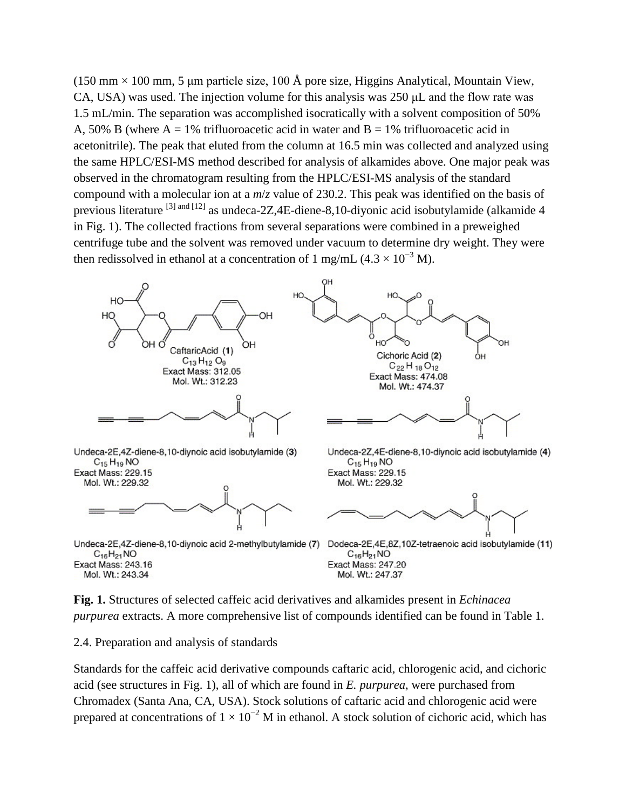(150 mm  $\times$  100 mm, 5 µm particle size, 100 Å pore size, Higgins Analytical, Mountain View, CA, USA) was used. The injection volume for this analysis was 250 μL and the flow rate was 1.5 mL/min. The separation was accomplished isocratically with a solvent composition of 50% A, 50% B (where  $A = 1%$  trifluoroacetic acid in water and  $B = 1%$  trifluoroacetic acid in acetonitrile). The peak that eluted from the column at 16.5 min was collected and analyzed using the same HPLC/ESI-MS method described for analysis of alkamides above. One major peak was observed in the chromatogram resulting from the HPLC/ESI-MS analysis of the standard compound with a molecular ion at a *m*/*z* value of 230.2. This peak was identified on the basis of previous literature <sup>[3] and [12]</sup> as undeca-2Z,4E-diene-8,10-diyonic acid isobutylamide (alkamide 4 in Fig. 1). The collected fractions from several separations were combined in a preweighed centrifuge tube and the solvent was removed under vacuum to determine dry weight. They were then redissolved in ethanol at a concentration of 1 mg/mL (4.3  $\times$  10<sup>-3</sup> M).



**Fig. 1.** Structures of selected caffeic acid derivatives and alkamides present in *Echinacea purpurea* extracts. A more comprehensive list of compounds identified can be found in Table 1.

2.4. Preparation and analysis of standards

Standards for the caffeic acid derivative compounds caftaric acid, chlorogenic acid, and cichoric acid (see structures in Fig. 1), all of which are found in *E. purpurea*, were purchased from Chromadex (Santa Ana, CA, USA). Stock solutions of caftaric acid and chlorogenic acid were prepared at concentrations of  $1 \times 10^{-2}$  M in ethanol. A stock solution of cichoric acid, which has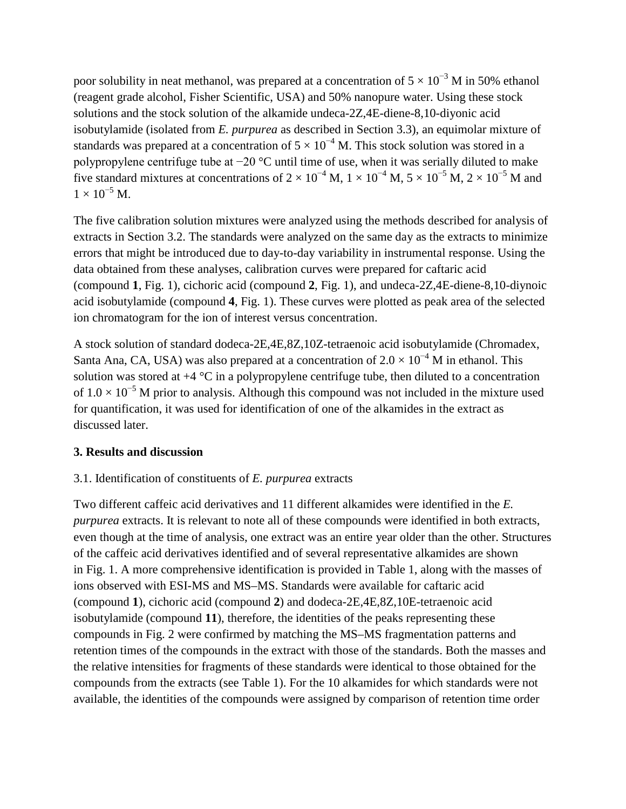poor solubility in neat methanol, was prepared at a concentration of  $5 \times 10^{-3}$  M in 50% ethanol (reagent grade alcohol, Fisher Scientific, USA) and 50% nanopure water. Using these stock solutions and the stock solution of the alkamide undeca-2Z,4E-diene-8,10-diyonic acid isobutylamide (isolated from *E. purpurea* as described in Section 3.3), an equimolar mixture of standards was prepared at a concentration of  $5 \times 10^{-4}$  M. This stock solution was stored in a polypropylene centrifuge tube at −20 °C until time of use, when it was serially diluted to make five standard mixtures at concentrations of  $2 \times 10^{-4}$  M,  $1 \times 10^{-4}$  M,  $5 \times 10^{-5}$  M,  $2 \times 10^{-5}$  M and  $1 \times 10^{-5}$  M.

The five calibration solution mixtures were analyzed using the methods described for analysis of extracts in Section 3.2. The standards were analyzed on the same day as the extracts to minimize errors that might be introduced due to day-to-day variability in instrumental response. Using the data obtained from these analyses, calibration curves were prepared for caftaric acid (compound **1**, Fig. 1), cichoric acid (compound **2**, Fig. 1), and undeca-2Z,4E-diene-8,10-diynoic acid isobutylamide (compound **4**, Fig. 1). These curves were plotted as peak area of the selected ion chromatogram for the ion of interest versus concentration.

A stock solution of standard dodeca-2E,4E,8Z,10Z-tetraenoic acid isobutylamide (Chromadex, Santa Ana, CA, USA) was also prepared at a concentration of  $2.0 \times 10^{-4}$  M in ethanol. This solution was stored at  $+4 \text{ }^{\circ}C$  in a polypropylene centrifuge tube, then diluted to a concentration of  $1.0 \times 10^{-5}$  M prior to analysis. Although this compound was not included in the mixture used for quantification, it was used for identification of one of the alkamides in the extract as discussed later.

#### **3. Results and discussion**

## 3.1. Identification of constituents of *E. purpurea* extracts

Two different caffeic acid derivatives and 11 different alkamides were identified in the *E. purpurea* extracts. It is relevant to note all of these compounds were identified in both extracts, even though at the time of analysis, one extract was an entire year older than the other. Structures of the caffeic acid derivatives identified and of several representative alkamides are shown in Fig. 1. A more comprehensive identification is provided in Table 1, along with the masses of ions observed with ESI-MS and MS–MS. Standards were available for caftaric acid (compound **1**), cichoric acid (compound **2**) and dodeca-2E,4E,8Z,10E-tetraenoic acid isobutylamide (compound **11**), therefore, the identities of the peaks representing these compounds in Fig. 2 were confirmed by matching the MS–MS fragmentation patterns and retention times of the compounds in the extract with those of the standards. Both the masses and the relative intensities for fragments of these standards were identical to those obtained for the compounds from the extracts (see Table 1). For the 10 alkamides for which standards were not available, the identities of the compounds were assigned by comparison of retention time order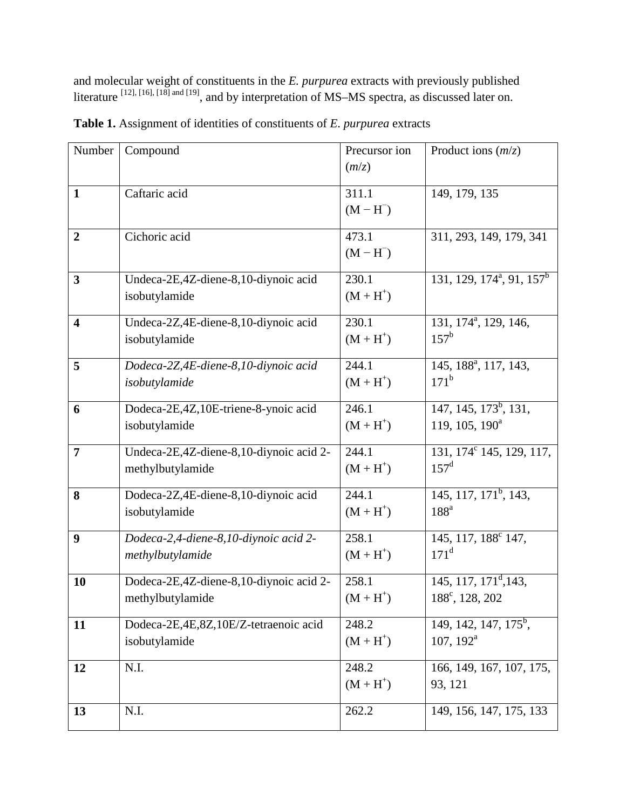and molecular weight of constituents in the *E. purpurea* extracts with previously published literature [12], [16], [18] and [19], and by interpretation of MS–MS spectra, as discussed later on.

| Number                  | Compound                                              | Precursor ion<br>(m/z) | Product ions $(m/z)$                              |
|-------------------------|-------------------------------------------------------|------------------------|---------------------------------------------------|
| $\mathbf{1}$            | Caftaric acid                                         | 311.1<br>$(M - H-)$    | 149, 179, 135                                     |
| $\overline{2}$          | Cichoric acid                                         | 473.1<br>$(M - H^{-})$ | 311, 293, 149, 179, 341                           |
| $\overline{\mathbf{3}}$ | Undeca-2E,4Z-diene-8,10-diynoic acid<br>isobutylamide | 230.1<br>$(M + H^{+})$ | 131, 129, 174 <sup>a</sup> , 91, 157 <sup>b</sup> |
| $\overline{\mathbf{4}}$ | Undeca-2Z,4E-diene-8,10-diynoic acid                  | 230.1                  | 131, 174 <sup>a</sup> , 129, 146,                 |
|                         | isobutylamide                                         | $(M + H^{+})$          | $157^{\rm b}$                                     |
| 5                       | Dodeca-2Z,4E-diene-8,10-diynoic acid                  | 244.1                  | 145, 188 <sup>a</sup> , 117, 143,                 |
|                         | isobutylamide                                         | $(M + H^{+})$          | $171^{\rm b}$                                     |
| 6                       | Dodeca-2E,4Z,10E-triene-8-ynoic acid                  | 246.1                  | $147, 145, 173^b, 131,$                           |
|                         | isobutylamide                                         | $(M + H^{+})$          | 119, 105, 190 $^{\circ}$                          |
| $\overline{7}$          | Undeca-2E,4Z-diene-8,10-diynoic acid 2-               | 244.1                  | 131, 174 <sup>c</sup> 145, 129, 117,              |
|                         | methylbutylamide                                      | $(M + H^{+})$          | $157^{\rm d}$                                     |
| 8                       | Dodeca-2Z,4E-diene-8,10-diynoic acid                  | 244.1                  | $145, 11\overline{7, 171^b, 143,}$                |
|                         | isobutylamide                                         | $(M + H^+)$            | 188 <sup>a</sup>                                  |
| 9                       | Dodeca-2,4-diene-8,10-diynoic acid 2-                 | 258.1                  | 145, 117, 188 <sup>c</sup> 147,                   |
|                         | methylbutylamide                                      | $(M + H^{+})$          | $171^d$                                           |
| 10                      | Dodeca-2E,4Z-diene-8,10-diynoic acid 2-               | 258.1                  | 145, 117, $17\overline{1^d, 143}$ ,               |
|                         | methylbutylamide                                      | $(M + H^{+})$          | 188°, 128, 202                                    |
| 11                      | Dodeca-2E,4E,8Z,10E/Z-tetraenoic acid                 | 248.2                  | 149, 142, 147, 175 <sup>b</sup> ,                 |
|                         | isobutylamide                                         | $(M + H^{+})$          | $107, 192^{\text{a}}$                             |
| 12                      | N.I.                                                  | 248.2<br>$(M + H^{+})$ | 166, 149, 167, 107, 175,<br>93, 121               |
| 13                      | N.I.                                                  | 262.2                  | 149, 156, 147, 175, 133                           |

**Table 1.** Assignment of identities of constituents of *E*. *purpurea* extracts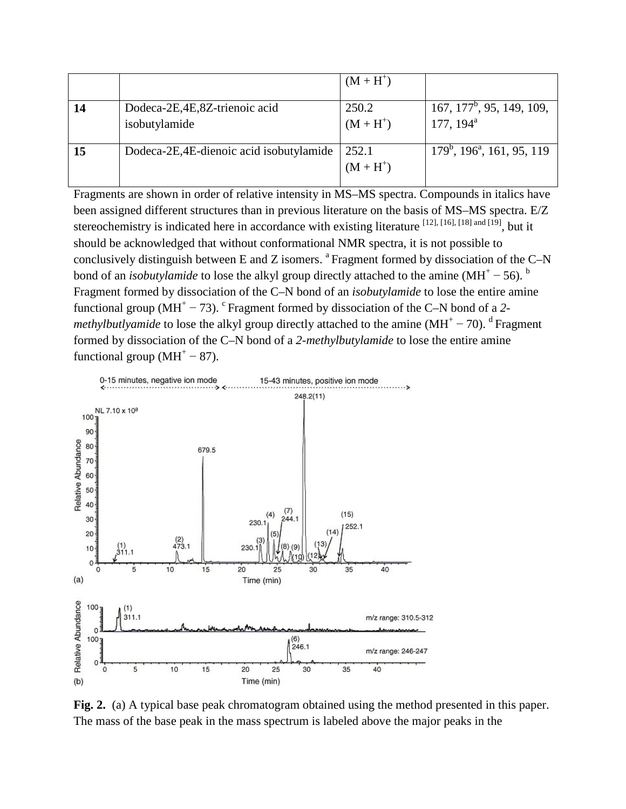|    |                                                | $(M + H^+)$            |                                                         |
|----|------------------------------------------------|------------------------|---------------------------------------------------------|
| 14 | Dodeca-2E,4E,8Z-trienoic acid<br>isobutylamide | 250.2<br>$(M + H^{+})$ | $167, 177^{\circ}, 95, 149, 109,$<br>177, $194^{\circ}$ |
| 15 | Dodeca-2E,4E-dienoic acid isobutylamide        | 252.1<br>$(M + H^{+})$ | $179^{\circ}$ , 196 <sup>a</sup> , 161, 95, 119         |

Fragments are shown in order of relative intensity in MS–MS spectra. Compounds in italics have been assigned different structures than in previous literature on the basis of MS–MS spectra. E/Z stereochemistry is indicated here in accordance with existing literature [12], [16], [18] and [19], but it should be acknowledged that without conformational NMR spectra, it is not possible to conclusively distinguish between E and Z isomers.  $^{\circ}$  Fragment formed by dissociation of the C–N bond of an *isobutylamide* to lose the alkyl group directly attached to the amine (MH<sup>+</sup> − 56). <sup>b</sup> Fragment formed by dissociation of the C–N bond of an *isobutylamide* to lose the entire amine functional group (MH<sup>+</sup>  $-$  73). <sup>c</sup> Fragment formed by dissociation of the C–N bond of a 2*methylbutlyamide* to lose the alkyl group directly attached to the amine (MH<sup>+</sup> − 70). <sup>d</sup> Fragment formed by dissociation of the C–N bond of a *2-methylbutylamide* to lose the entire amine functional group (MH<sup>+</sup>  $-$  87).



**Fig. 2.** (a) A typical base peak chromatogram obtained using the method presented in this paper. The mass of the base peak in the mass spectrum is labeled above the major peaks in the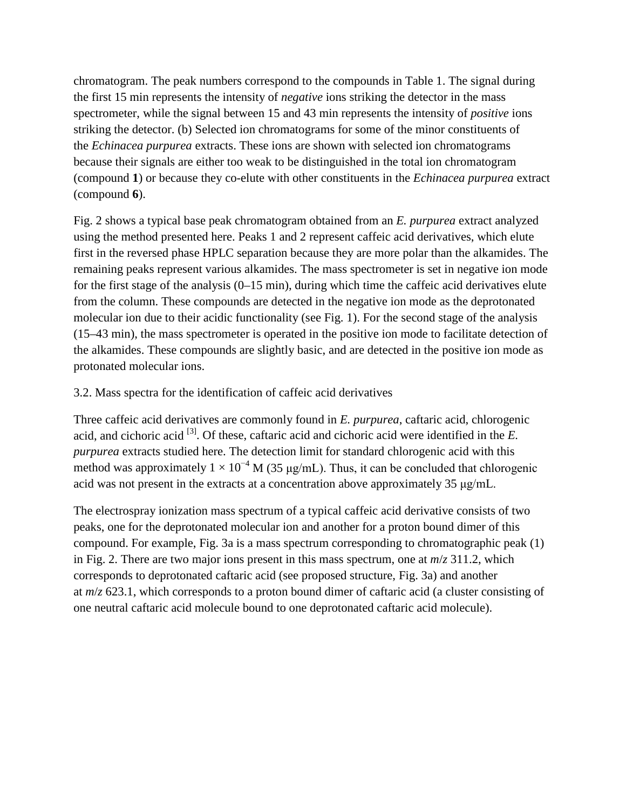chromatogram. The peak numbers correspond to the compounds in Table 1. The signal during the first 15 min represents the intensity of *negative* ions striking the detector in the mass spectrometer, while the signal between 15 and 43 min represents the intensity of *positive* ions striking the detector. (b) Selected ion chromatograms for some of the minor constituents of the *Echinacea purpurea* extracts. These ions are shown with selected ion chromatograms because their signals are either too weak to be distinguished in the total ion chromatogram (compound **1**) or because they co-elute with other constituents in the *Echinacea purpurea* extract (compound **6**).

Fig. 2 shows a typical base peak chromatogram obtained from an *E. purpurea* extract analyzed using the method presented here. Peaks 1 and 2 represent caffeic acid derivatives, which elute first in the reversed phase HPLC separation because they are more polar than the alkamides. The remaining peaks represent various alkamides. The mass spectrometer is set in negative ion mode for the first stage of the analysis (0–15 min), during which time the caffeic acid derivatives elute from the column. These compounds are detected in the negative ion mode as the deprotonated molecular ion due to their acidic functionality (see Fig. 1). For the second stage of the analysis (15–43 min), the mass spectrometer is operated in the positive ion mode to facilitate detection of the alkamides. These compounds are slightly basic, and are detected in the positive ion mode as protonated molecular ions.

## 3.2. Mass spectra for the identification of caffeic acid derivatives

Three caffeic acid derivatives are commonly found in *E. purpurea*, caftaric acid, chlorogenic acid, and cichoric acid [3]. Of these, caftaric acid and cichoric acid were identified in the *E. purpurea* extracts studied here. The detection limit for standard chlorogenic acid with this method was approximately  $1 \times 10^{-4}$  M (35 μg/mL). Thus, it can be concluded that chlorogenic acid was not present in the extracts at a concentration above approximately 35 μg/mL.

The electrospray ionization mass spectrum of a typical caffeic acid derivative consists of two peaks, one for the deprotonated molecular ion and another for a proton bound dimer of this compound. For example, Fig. 3a is a mass spectrum corresponding to chromatographic peak (1) in Fig. 2. There are two major ions present in this mass spectrum, one at *m*/*z* 311.2, which corresponds to deprotonated caftaric acid (see proposed structure, Fig. 3a) and another at *m*/*z* 623.1, which corresponds to a proton bound dimer of caftaric acid (a cluster consisting of one neutral caftaric acid molecule bound to one deprotonated caftaric acid molecule).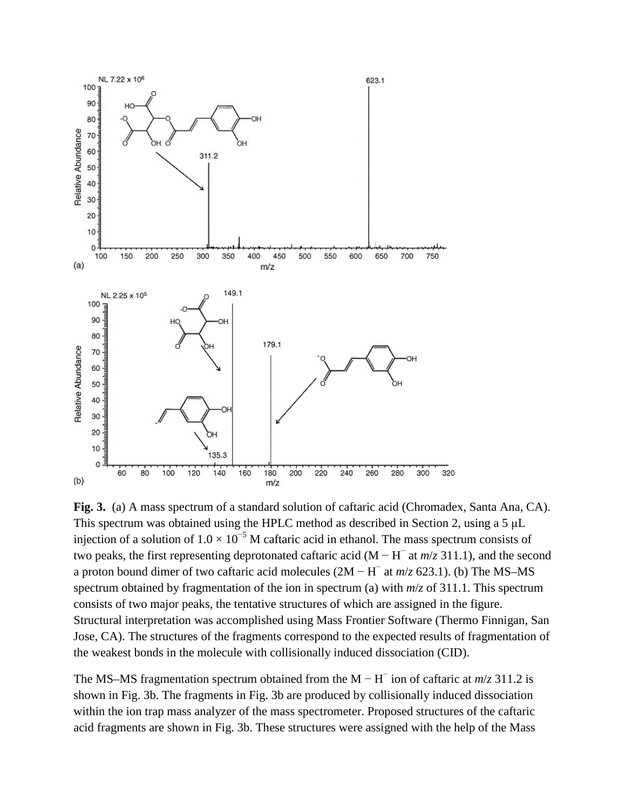

**Fig. 3.** (a) A mass spectrum of a standard solution of caftaric acid (Chromadex, Santa Ana, CA). This spectrum was obtained using the HPLC method as described in Section 2, using a 5 μL injection of a solution of  $1.0 \times 10^{-5}$  M caftaric acid in ethanol. The mass spectrum consists of two peaks, the first representing deprotonated caftaric acid (M − H<sup>−</sup> at *m*/*z* 311.1), and the second a proton bound dimer of two caftaric acid molecules (2M − H<sup>−</sup> at *m*/*z* 623.1). (b) The MS–MS spectrum obtained by fragmentation of the ion in spectrum (a) with *m*/*z* of 311.1. This spectrum consists of two major peaks, the tentative structures of which are assigned in the figure. Structural interpretation was accomplished using Mass Frontier Software (Thermo Finnigan, San Jose, CA). The structures of the fragments correspond to the expected results of fragmentation of the weakest bonds in the molecule with collisionally induced dissociation (CID).

The MS–MS fragmentation spectrum obtained from the M − H<sup>−</sup> ion of caftaric at *m*/*z* 311.2 is shown in Fig. 3b. The fragments in Fig. 3b are produced by collisionally induced dissociation within the ion trap mass analyzer of the mass spectrometer. Proposed structures of the caftaric acid fragments are shown in Fig. 3b. These structures were assigned with the help of the Mass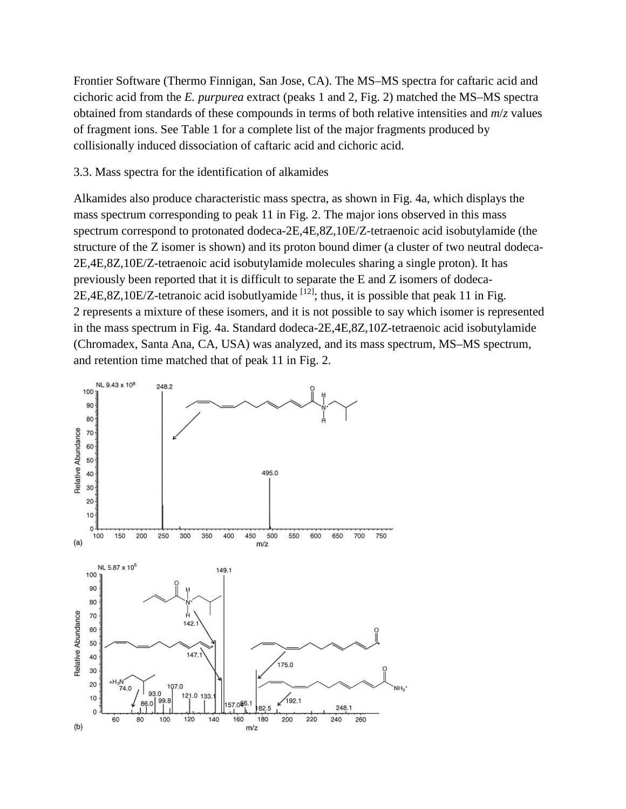Frontier Software (Thermo Finnigan, San Jose, CA). The MS–MS spectra for caftaric acid and cichoric acid from the *E. purpurea* extract (peaks 1 and 2, Fig. 2) matched the MS–MS spectra obtained from standards of these compounds in terms of both relative intensities and *m*/*z* values of fragment ions. See Table 1 for a complete list of the major fragments produced by collisionally induced dissociation of caftaric acid and cichoric acid.

#### 3.3. Mass spectra for the identification of alkamides

Alkamides also produce characteristic mass spectra, as shown in Fig. 4a, which displays the mass spectrum corresponding to peak 11 in Fig. 2. The major ions observed in this mass spectrum correspond to protonated dodeca-2E,4E,8Z,10E/Z-tetraenoic acid isobutylamide (the structure of the Z isomer is shown) and its proton bound dimer (a cluster of two neutral dodeca-2E,4E,8Z,10E/Z-tetraenoic acid isobutylamide molecules sharing a single proton). It has previously been reported that it is difficult to separate the E and Z isomers of dodeca-2E,4E,8Z,10E/Z-tetranoic acid isobutlyamide  $[12]$ ; thus, it is possible that peak 11 in Fig. 2 represents a mixture of these isomers, and it is not possible to say which isomer is represented in the mass spectrum in Fig. 4a. Standard dodeca-2E,4E,8Z,10Z-tetraenoic acid isobutylamide (Chromadex, Santa Ana, CA, USA) was analyzed, and its mass spectrum, MS–MS spectrum, and retention time matched that of peak 11 in Fig. 2.

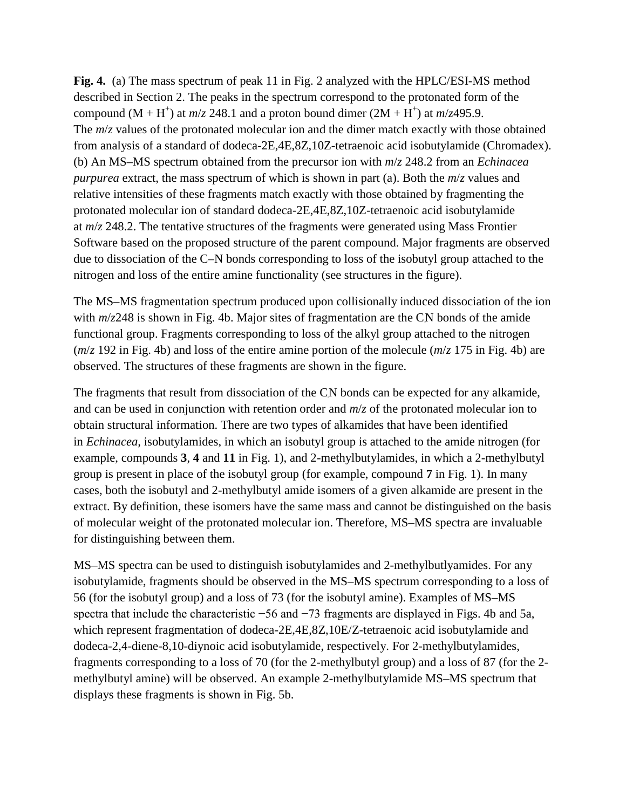**Fig. 4.** (a) The mass spectrum of peak 11 in Fig. 2 analyzed with the HPLC/ESI-MS method described in Section 2. The peaks in the spectrum correspond to the protonated form of the compound  $(M + H^+)$  at  $m/z$  248.1 and a proton bound dimer  $(2M + H^+)$  at  $m/z$ 495.9. The  $m/z$  values of the protonated molecular ion and the dimer match exactly with those obtained from analysis of a standard of dodeca-2E,4E,8Z,10Z-tetraenoic acid isobutylamide (Chromadex). (b) An MS–MS spectrum obtained from the precursor ion with *m*/*z* 248.2 from an *Echinacea purpurea* extract, the mass spectrum of which is shown in part (a). Both the *m*/*z* values and relative intensities of these fragments match exactly with those obtained by fragmenting the protonated molecular ion of standard dodeca-2E,4E,8Z,10Z-tetraenoic acid isobutylamide at *m*/*z* 248.2. The tentative structures of the fragments were generated using Mass Frontier Software based on the proposed structure of the parent compound. Major fragments are observed due to dissociation of the C–N bonds corresponding to loss of the isobutyl group attached to the nitrogen and loss of the entire amine functionality (see structures in the figure).

The MS–MS fragmentation spectrum produced upon collisionally induced dissociation of the ion with  $m/z^2$  as shown in Fig. 4b. Major sites of fragmentation are the CN bonds of the amide functional group. Fragments corresponding to loss of the alkyl group attached to the nitrogen  $(m/z)$  192 in Fig. 4b) and loss of the entire amine portion of the molecule  $(m/z)$  175 in Fig. 4b) are observed. The structures of these fragments are shown in the figure.

The fragments that result from dissociation of the CN bonds can be expected for any alkamide, and can be used in conjunction with retention order and *m*/*z* of the protonated molecular ion to obtain structural information. There are two types of alkamides that have been identified in *Echinacea,* isobutylamides, in which an isobutyl group is attached to the amide nitrogen (for example, compounds **3**, **4** and **11** in Fig. 1), and 2-methylbutylamides, in which a 2-methylbutyl group is present in place of the isobutyl group (for example, compound **7** in Fig. 1). In many cases, both the isobutyl and 2-methylbutyl amide isomers of a given alkamide are present in the extract. By definition, these isomers have the same mass and cannot be distinguished on the basis of molecular weight of the protonated molecular ion. Therefore, MS–MS spectra are invaluable for distinguishing between them.

MS–MS spectra can be used to distinguish isobutylamides and 2-methylbutlyamides. For any isobutylamide, fragments should be observed in the MS–MS spectrum corresponding to a loss of 56 (for the isobutyl group) and a loss of 73 (for the isobutyl amine). Examples of MS–MS spectra that include the characteristic −56 and −73 fragments are displayed in Figs. 4b and 5a, which represent fragmentation of dodeca-2E,4E,8Z,10E/Z-tetraenoic acid isobutylamide and dodeca-2,4-diene-8,10-diynoic acid isobutylamide, respectively. For 2-methylbutylamides, fragments corresponding to a loss of 70 (for the 2-methylbutyl group) and a loss of 87 (for the 2 methylbutyl amine) will be observed. An example 2-methylbutylamide MS–MS spectrum that displays these fragments is shown in Fig. 5b.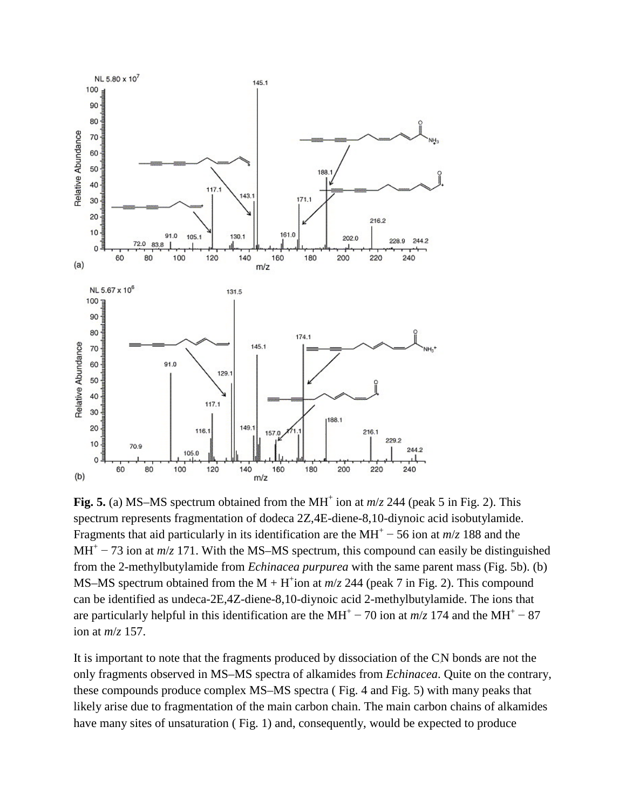

**Fig. 5.** (a) MS–MS spectrum obtained from the MH<sup>+</sup> ion at  $m/z$  244 (peak 5 in Fig. 2). This spectrum represents fragmentation of dodeca 2Z,4E-diene-8,10-diynoic acid isobutylamide. Fragments that aid particularly in its identification are the MH<sup>+</sup> − 56 ion at  $m/z$  188 and the MH+ − 73 ion at *m*/*z* 171. With the MS–MS spectrum, this compound can easily be distinguished from the 2-methylbutylamide from *Echinacea purpurea* with the same parent mass (Fig. 5b). (b) MS–MS spectrum obtained from the  $M + H^{+}$ ion at  $m/z$  244 (peak 7 in Fig. 2). This compound can be identified as undeca-2E,4Z-diene-8,10-diynoic acid 2-methylbutylamide. The ions that are particularly helpful in this identification are the MH<sup>+</sup> − 70 ion at  $m/z$  174 and the MH<sup>+</sup> − 87 ion at *m*/*z* 157.

It is important to note that the fragments produced by dissociation of the CN bonds are not the only fragments observed in MS–MS spectra of alkamides from *Echinacea*. Quite on the contrary, these compounds produce complex MS–MS spectra ( Fig. 4 and Fig. 5) with many peaks that likely arise due to fragmentation of the main carbon chain. The main carbon chains of alkamides have many sites of unsaturation ( Fig. 1) and, consequently, would be expected to produce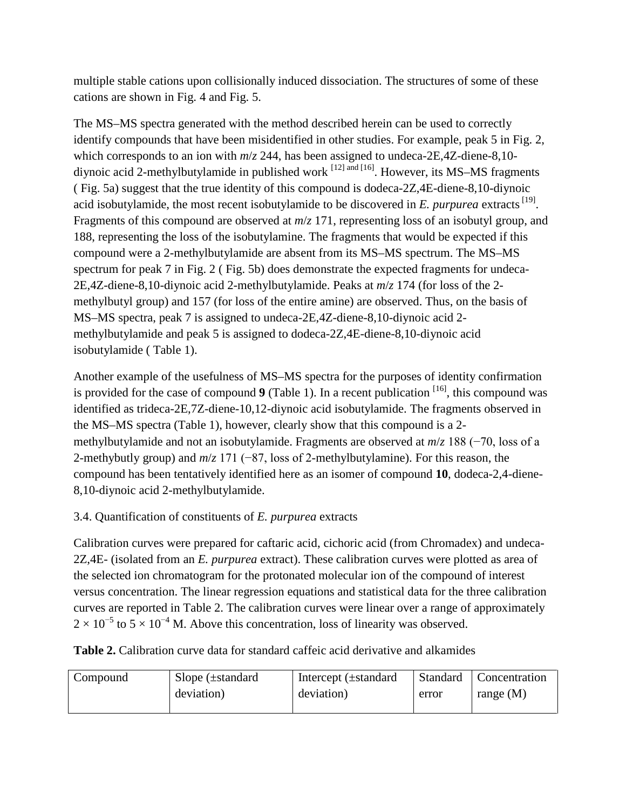multiple stable cations upon collisionally induced dissociation. The structures of some of these cations are shown in Fig. 4 and Fig. 5.

The MS–MS spectra generated with the method described herein can be used to correctly identify compounds that have been misidentified in other studies. For example, peak 5 in Fig. 2, which corresponds to an ion with  $m/z$  244, has been assigned to undeca-2E,4Z-diene-8,10diynoic acid 2-methylbutylamide in published work  $^{[12]}$  and  $^{[16]}$ . However, its MS–MS fragments ( Fig. 5a) suggest that the true identity of this compound is dodeca-2Z,4E-diene-8,10-diynoic acid isobutylamide, the most recent isobutylamide to be discovered in  $E$ . *purpurea* extracts<sup>[19]</sup>. Fragments of this compound are observed at *m*/*z* 171, representing loss of an isobutyl group, and 188, representing the loss of the isobutylamine. The fragments that would be expected if this compound were a 2-methylbutylamide are absent from its MS–MS spectrum. The MS–MS spectrum for peak 7 in Fig. 2 ( Fig. 5b) does demonstrate the expected fragments for undeca-2E,4Z-diene-8,10-diynoic acid 2-methylbutylamide. Peaks at *m*/*z* 174 (for loss of the 2 methylbutyl group) and 157 (for loss of the entire amine) are observed. Thus, on the basis of MS–MS spectra, peak 7 is assigned to undeca-2E,4Z-diene-8,10-diynoic acid 2 methylbutylamide and peak 5 is assigned to dodeca-2Z,4E-diene-8,10-diynoic acid isobutylamide ( Table 1).

Another example of the usefulness of MS–MS spectra for the purposes of identity confirmation is provided for the case of compound  $9$  (Table 1). In a recent publication <sup>[16]</sup>, this compound was identified as trideca-2E,7Z-diene-10,12-diynoic acid isobutylamide. The fragments observed in the MS–MS spectra (Table 1), however, clearly show that this compound is a 2 methylbutylamide and not an isobutylamide. Fragments are observed at *m*/*z* 188 (−70, loss of a 2-methybutly group) and *m*/*z* 171 (−87, loss of 2-methylbutylamine). For this reason, the compound has been tentatively identified here as an isomer of compound **10**, dodeca-2,4-diene-8,10-diynoic acid 2-methylbutylamide.

# 3.4. Quantification of constituents of *E. purpurea* extracts

Calibration curves were prepared for caftaric acid, cichoric acid (from Chromadex) and undeca-2Z,4E- (isolated from an *E. purpurea* extract). These calibration curves were plotted as area of the selected ion chromatogram for the protonated molecular ion of the compound of interest versus concentration. The linear regression equations and statistical data for the three calibration curves are reported in Table 2. The calibration curves were linear over a range of approximately  $2 \times 10^{-5}$  to  $5 \times 10^{-4}$  M. Above this concentration, loss of linearity was observed.

**Table 2.** Calibration curve data for standard caffeic acid derivative and alkamides

| Compound | Slope $(\pm$ standard | $\perp$ Intercept ( $\pm$ standard | Standard | Concentration |
|----------|-----------------------|------------------------------------|----------|---------------|
|          | deviation)            | deviation)                         | error    | range $(M)$   |
|          |                       |                                    |          |               |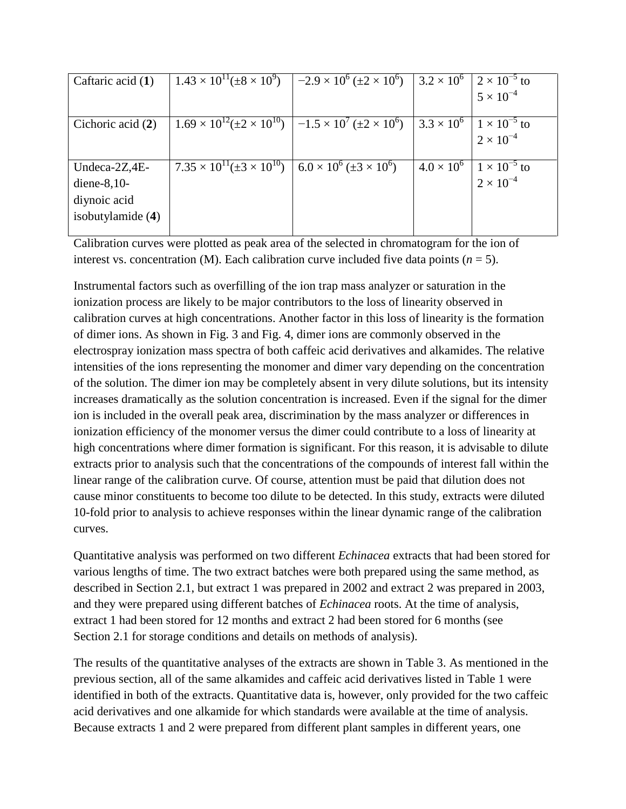| Caftaric acid $(1)$ | $1.43 \times 10^{11} (\pm 8 \times 10^{9})$                                                     | $-2.9 \times 10^6$ ( $\pm 2 \times 10^6$ ) | $3.2 \times 10^{6}$ | $\frac{2 \times 10^{-5} \text{ to}}{5 \times 10^{-4}}$ |
|---------------------|-------------------------------------------------------------------------------------------------|--------------------------------------------|---------------------|--------------------------------------------------------|
|                     |                                                                                                 |                                            |                     |                                                        |
|                     |                                                                                                 |                                            |                     |                                                        |
| Cichoric acid (2)   | $\frac{1.69 \times 10^{12} (+2 \times 10^{10})}{-1.5 \times 10^{7} (+2 \times 10^{6})}$         |                                            | $3.3 \times 10^{6}$ |                                                        |
|                     |                                                                                                 |                                            |                     | $1 \times 10^{-5}$ to<br>$2 \times 10^{-4}$            |
|                     |                                                                                                 |                                            |                     |                                                        |
| Undeca-2Z,4E-       | $\sqrt{7.35 \times 10^{11} (\pm 3 \times 10^{10})}$ $(6.0 \times 10^{6} (\pm 3 \times 10^{6}))$ |                                            | $4.0 \times 10^{6}$ | $\frac{1 \times 10^{-5}}{2 \times 10^{-4}}$ to         |
| diene- $8,10$ -     |                                                                                                 |                                            |                     |                                                        |
| diynoic acid        |                                                                                                 |                                            |                     |                                                        |
| isobutylamide (4)   |                                                                                                 |                                            |                     |                                                        |
|                     |                                                                                                 |                                            |                     |                                                        |

Calibration curves were plotted as peak area of the selected in chromatogram for the ion of interest vs. concentration (M). Each calibration curve included five data points  $(n = 5)$ .

Instrumental factors such as overfilling of the ion trap mass analyzer or saturation in the ionization process are likely to be major contributors to the loss of linearity observed in calibration curves at high concentrations. Another factor in this loss of linearity is the formation of dimer ions. As shown in Fig. 3 and Fig. 4, dimer ions are commonly observed in the electrospray ionization mass spectra of both caffeic acid derivatives and alkamides. The relative intensities of the ions representing the monomer and dimer vary depending on the concentration of the solution. The dimer ion may be completely absent in very dilute solutions, but its intensity increases dramatically as the solution concentration is increased. Even if the signal for the dimer ion is included in the overall peak area, discrimination by the mass analyzer or differences in ionization efficiency of the monomer versus the dimer could contribute to a loss of linearity at high concentrations where dimer formation is significant. For this reason, it is advisable to dilute extracts prior to analysis such that the concentrations of the compounds of interest fall within the linear range of the calibration curve. Of course, attention must be paid that dilution does not cause minor constituents to become too dilute to be detected. In this study, extracts were diluted 10-fold prior to analysis to achieve responses within the linear dynamic range of the calibration curves.

Quantitative analysis was performed on two different *Echinacea* extracts that had been stored for various lengths of time. The two extract batches were both prepared using the same method, as described in Section 2.1, but extract 1 was prepared in 2002 and extract 2 was prepared in 2003, and they were prepared using different batches of *Echinacea* roots. At the time of analysis, extract 1 had been stored for 12 months and extract 2 had been stored for 6 months (see Section 2.1 for storage conditions and details on methods of analysis).

The results of the quantitative analyses of the extracts are shown in Table 3. As mentioned in the previous section, all of the same alkamides and caffeic acid derivatives listed in Table 1 were identified in both of the extracts. Quantitative data is, however, only provided for the two caffeic acid derivatives and one alkamide for which standards were available at the time of analysis. Because extracts 1 and 2 were prepared from different plant samples in different years, one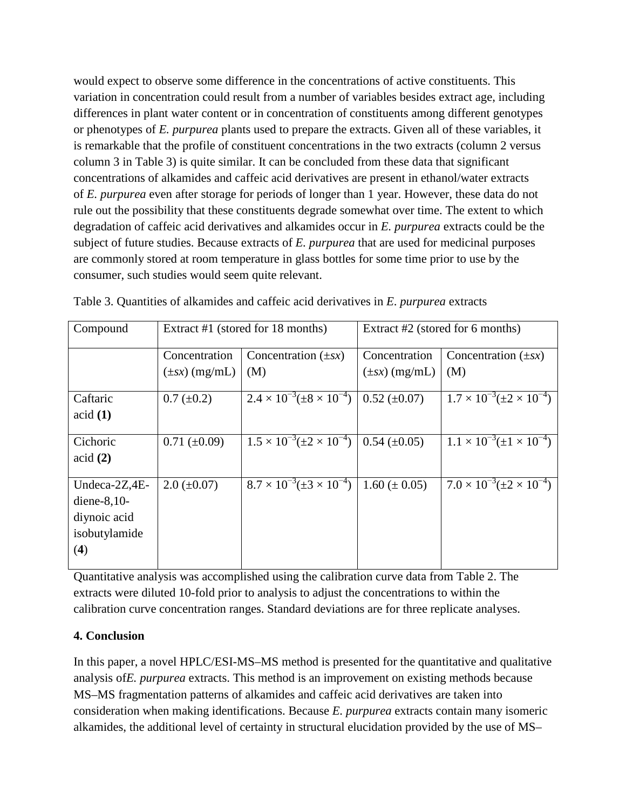would expect to observe some difference in the concentrations of active constituents. This variation in concentration could result from a number of variables besides extract age, including differences in plant water content or in concentration of constituents among different genotypes or phenotypes of *E. purpurea* plants used to prepare the extracts. Given all of these variables, it is remarkable that the profile of constituent concentrations in the two extracts (column 2 versus column 3 in Table 3) is quite similar. It can be concluded from these data that significant concentrations of alkamides and caffeic acid derivatives are present in ethanol/water extracts of *E. purpurea* even after storage for periods of longer than 1 year. However, these data do not rule out the possibility that these constituents degrade somewhat over time. The extent to which degradation of caffeic acid derivatives and alkamides occur in *E. purpurea* extracts could be the subject of future studies. Because extracts of *E. purpurea* that are used for medicinal purposes are commonly stored at room temperature in glass bottles for some time prior to use by the consumer, such studies would seem quite relevant.

| Compound          | Extract #1 (stored for 18 months) |                                             | Extract #2 (stored for 6 months) |                                                        |
|-------------------|-----------------------------------|---------------------------------------------|----------------------------------|--------------------------------------------------------|
|                   | Concentration                     | Concentration $(\pm sx)$                    | Concentration                    | Concentration $(\pm sx)$                               |
|                   | $(\pm sx)$ (mg/mL)                | (M)                                         | $(\pm sx)$ (mg/mL)               | (M)                                                    |
| Caftaric          | $0.7 (\pm 0.2)$                   | $2.4 \times 10^{-3} (\pm 8 \times 10^{-4})$ | $0.52 \ (\pm 0.07)$              | $1.7 \times 10^{-3} (\pm 2 \times 10^{-4})$            |
| acid(1)           |                                   |                                             |                                  |                                                        |
| Cichoric          | $0.71 (\pm 0.09)$                 | $1.5 \times 10^{-3} (\pm 2 \times 10^{-4})$ | $0.54 \ (\pm 0.05)$              | $\overline{1.1} \times 10^{-3} (\pm 1 \times 10^{-4})$ |
| $\alpha$ id $(2)$ |                                   |                                             |                                  |                                                        |
| Undeca-2Z,4E-     | $2.0 \ (\pm 0.07)$                | $8.7 \times 10^{-3} (\pm 3 \times 10^{-4})$ | $1.60 \ (\pm 0.05)$              | $7.0 \times 10^{-3} (\pm 2 \times 10^{-4})$            |
| diene- $8,10$ -   |                                   |                                             |                                  |                                                        |
| diynoic acid      |                                   |                                             |                                  |                                                        |
| isobutylamide     |                                   |                                             |                                  |                                                        |
| (4)               |                                   |                                             |                                  |                                                        |

| Table 3. Quantities of alkamides and caffeic acid derivatives in E. purpurea extracts |  |
|---------------------------------------------------------------------------------------|--|
|---------------------------------------------------------------------------------------|--|

Quantitative analysis was accomplished using the calibration curve data from Table 2. The extracts were diluted 10-fold prior to analysis to adjust the concentrations to within the calibration curve concentration ranges. Standard deviations are for three replicate analyses.

# **4. Conclusion**

In this paper, a novel HPLC/ESI-MS–MS method is presented for the quantitative and qualitative analysis of*E. purpurea* extracts. This method is an improvement on existing methods because MS–MS fragmentation patterns of alkamides and caffeic acid derivatives are taken into consideration when making identifications. Because *E. purpurea* extracts contain many isomeric alkamides, the additional level of certainty in structural elucidation provided by the use of MS–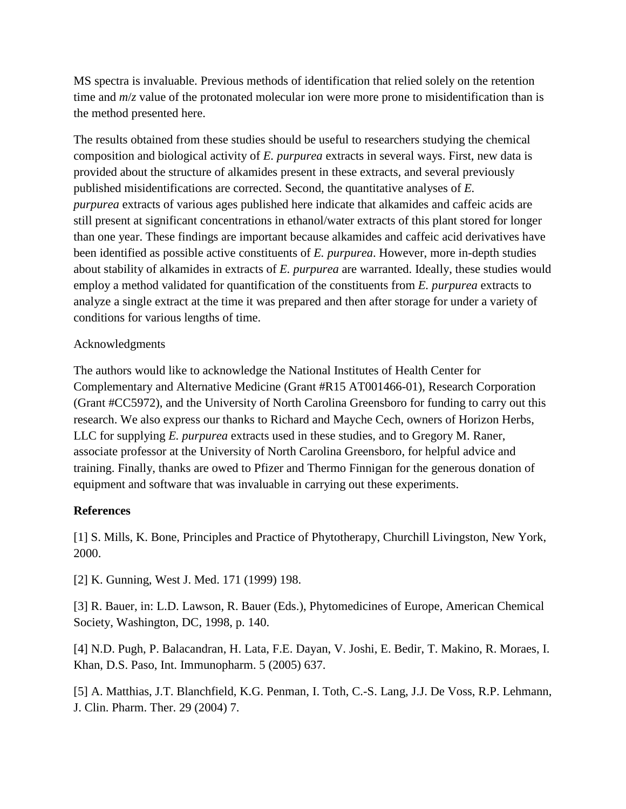MS spectra is invaluable. Previous methods of identification that relied solely on the retention time and *m/z* value of the protonated molecular ion were more prone to misidentification than is the method presented here.

The results obtained from these studies should be useful to researchers studying the chemical composition and biological activity of *E. purpurea* extracts in several ways. First, new data is provided about the structure of alkamides present in these extracts, and several previously published misidentifications are corrected. Second, the quantitative analyses of *E. purpurea* extracts of various ages published here indicate that alkamides and caffeic acids are still present at significant concentrations in ethanol/water extracts of this plant stored for longer than one year. These findings are important because alkamides and caffeic acid derivatives have been identified as possible active constituents of *E. purpurea*. However, more in-depth studies about stability of alkamides in extracts of *E. purpurea* are warranted. Ideally, these studies would employ a method validated for quantification of the constituents from *E. purpurea* extracts to analyze a single extract at the time it was prepared and then after storage for under a variety of conditions for various lengths of time.

## Acknowledgments

The authors would like to acknowledge the National Institutes of Health Center for Complementary and Alternative Medicine (Grant #R15 AT001466-01), Research Corporation (Grant #CC5972), and the University of North Carolina Greensboro for funding to carry out this research. We also express our thanks to Richard and Mayche Cech, owners of Horizon Herbs, LLC for supplying *E. purpurea* extracts used in these studies, and to Gregory M. Raner, associate professor at the University of North Carolina Greensboro, for helpful advice and training. Finally, thanks are owed to Pfizer and Thermo Finnigan for the generous donation of equipment and software that was invaluable in carrying out these experiments.

## **References**

[1] S. Mills, K. Bone, Principles and Practice of Phytotherapy, Churchill Livingston, New York, 2000.

[2] K. Gunning, West J. Med. 171 (1999) 198.

[3] R. Bauer, in: L.D. Lawson, R. Bauer (Eds.), Phytomedicines of Europe, American Chemical Society, Washington, DC, 1998, p. 140.

[4] N.D. Pugh, P. Balacandran, H. Lata, F.E. Dayan, V. Joshi, E. Bedir, T. Makino, R. Moraes, I. Khan, D.S. Paso, Int. Immunopharm. 5 (2005) 637.

[5] A. Matthias, J.T. Blanchfield, K.G. Penman, I. Toth, C.-S. Lang, J.J. De Voss, R.P. Lehmann, J. Clin. Pharm. Ther. 29 (2004) 7.